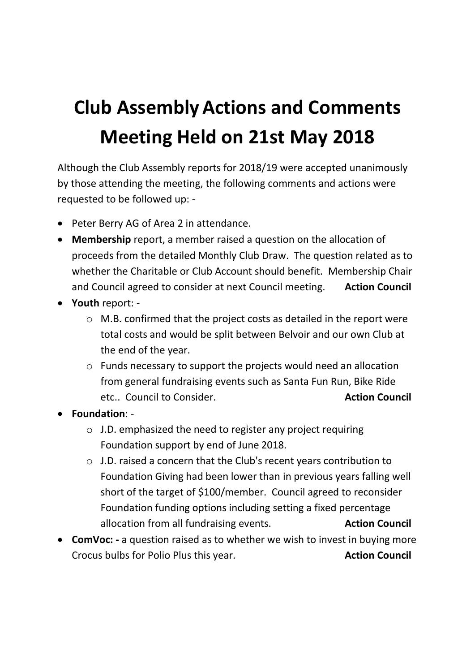## **Club AssemblyActions and Comments Meeting Held on 21st May 2018**

Although the Club Assembly reports for 2018/19 were accepted unanimously by those attending the meeting, the following comments and actions were requested to be followed up: -

- Peter Berry AG of Area 2 in attendance.
- **Membership** report, a member raised a question on the allocation of proceeds from the detailed Monthly Club Draw. The question related as to whether the Charitable or Club Account should benefit. Membership Chair and Council agreed to consider at next Council meeting. **Action Council**
- **Youth** report:
	- o M.B. confirmed that the project costs as detailed in the report were total costs and would be split between Belvoir and our own Club at the end of the year.
	- o Funds necessary to support the projects would need an allocation from general fundraising events such as Santa Fun Run, Bike Ride etc.. Council to Consider. **Action Council** etc.. **Action Council**
- **Foundation**:
	- o J.D. emphasized the need to register any project requiring Foundation support by end of June 2018.
	- o J.D. raised a concern that the Club's recent years contribution to Foundation Giving had been lower than in previous years falling well short of the target of \$100/member. Council agreed to reconsider Foundation funding options including setting a fixed percentage allocation from all fundraising events. **Action Council**
- **ComVoc: -** a question raised as to whether we wish to invest in buying more Crocus bulbs for Polio Plus this year. **Action Council Action Council**